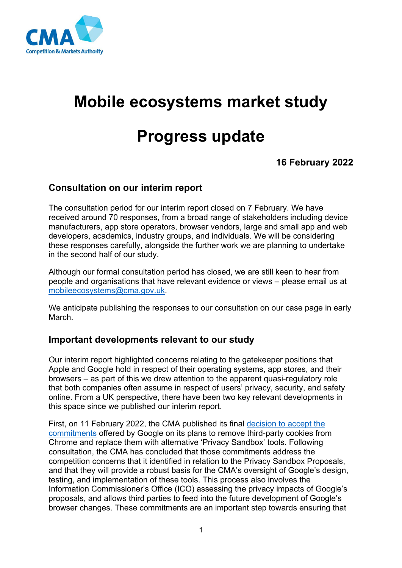

# **Mobile ecosystems market study**

## **Progress update**

### **16 February 2022**

#### **Consultation on our interim report**

The consultation period for our interim report closed on 7 February. We have received around 70 responses, from a broad range of stakeholders including device manufacturers, app store operators, browser vendors, large and small app and web developers, academics, industry groups, and individuals. We will be considering these responses carefully, alongside the further work we are planning to undertake in the second half of our study.

Although our formal consultation period has closed, we are still keen to hear from people and organisations that have relevant evidence or views – please email us at [mobileecosystems@cma.gov.uk.](mailto:mobileecosystems@cma.gov.uk)

We anticipate publishing the responses to our consultation on our case page in early March.

#### **Important developments relevant to our study**

Our interim report highlighted concerns relating to the gatekeeper positions that Apple and Google hold in respect of their operating systems, app stores, and their browsers – as part of this we drew attention to the apparent quasi-regulatory role that both companies often assume in respect of users' privacy, security, and safety online. From a UK perspective, there have been two key relevant developments in this space since we published our interim report.

First, on 11 February 2022, the CMA published its final [decision to accept the](https://www.gov.uk/cma-cases/investigation-into-googles-privacy-sandbox-browser-changes)  [commitments](https://www.gov.uk/cma-cases/investigation-into-googles-privacy-sandbox-browser-changes) offered by Google on its plans to remove third-party cookies from Chrome and replace them with alternative 'Privacy Sandbox' tools. Following consultation, the CMA has concluded that those commitments address the competition concerns that it identified in relation to the Privacy Sandbox Proposals, and that they will provide a robust basis for the CMA's oversight of Google's design, testing, and implementation of these tools. This process also involves the Information Commissioner's Office (ICO) assessing the privacy impacts of Google's proposals, and allows third parties to feed into the future development of Google's browser changes. These commitments are an important step towards ensuring that